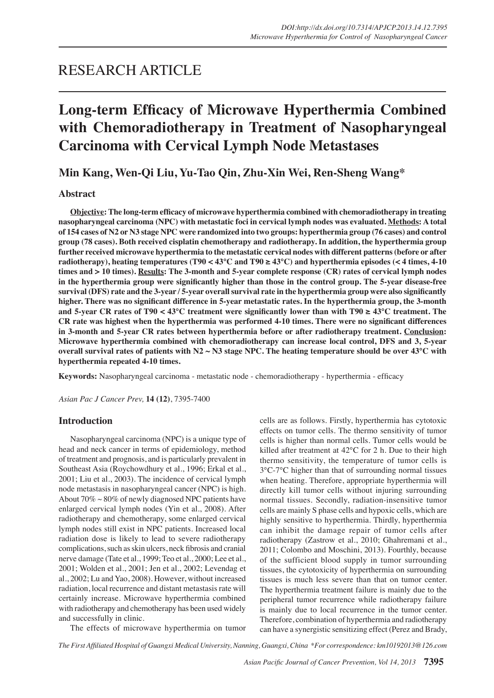## RESEARCH ARTICLE

# **Long-term Efficacy of Microwave Hyperthermia Combined with Chemoradiotherapy in Treatment of Nasopharyngeal Carcinoma with Cervical Lymph Node Metastases**

## **Min Kang, Wen-Qi Liu, Yu-Tao Qin, Zhu-Xin Wei, Ren-Sheng Wang\***

### **Abstract**

**Objective: The long-term efficacy of microwave hyperthermia combined with chemoradiotherapy in treating nasopharyngeal carcinoma (NPC) with metastatic foci in cervical lymph nodes was evaluated. Methods: A total of 154 cases of N2 or N3 stage NPC were randomized into two groups: hyperthermia group (76 cases) and control group (78 cases). Both received cisplatin chemotherapy and radiotherapy. In addition, the hyperthermia group further received microwave hyperthermia to the metastatic cervical nodes with different patterns (before or after radiotherapy), heating temperatures (T90 < 43°C and T90 ≥ 43°C) and hyperthermia episodes (< 4 times, 4-10 times and > 10 times). Results: The 3-month and 5-year complete response (CR) rates of cervical lymph nodes in the hyperthermia group were significantly higher than those in the control group. The 5-year disease-free survival (DFS) rate and the 3-year / 5-year overall survival rate in the hyperthermia group were also significantly higher. There was no significant difference in 5-year metastatic rates. In the hyperthermia group, the 3-month and 5-year CR rates of T90 < 43°C treatment were significantly lower than with T90 ≥ 43°C treatment. The CR rate was highest when the hyperthermia was performed 4-10 times. There were no significant differences in 3-month and 5-year CR rates between hyperthermia before or after radiotherapy treatment. Conclusion: Microwave hyperthermia combined with chemoradiotherapy can increase local control, DFS and 3, 5-year overall survival rates of patients with N2 ~ N3 stage NPC. The heating temperature should be over 43°C with hyperthermia repeated 4-10 times.**

**Keywords:** Nasopharyngeal carcinoma - metastatic node - chemoradiotherapy - hyperthermia - efficacy

*Asian Pac J Cancer Prev,* **14 (12)**, 7395-7400

#### **Introduction**

Nasopharyngeal carcinoma (NPC) is a unique type of head and neck cancer in terms of epidemiology, method of treatment and prognosis, and is particularly prevalent in Southeast Asia (Roychowdhury et al., 1996; Erkal et al., 2001; Liu et al., 2003). The incidence of cervical lymph node metastasis in nasopharyngeal cancer (NPC) is high. About  $70\% \sim 80\%$  of newly diagnosed NPC patients have enlarged cervical lymph nodes (Yin et al., 2008). After radiotherapy and chemotherapy, some enlarged cervical lymph nodes still exist in NPC patients. Increased local radiation dose is likely to lead to severe radiotherapy complications, such as skin ulcers, neck fibrosis and cranial nerve damage (Tate et al., 1999; Teo et al., 2000; Lee et al., 2001; Wolden et al., 2001; Jen et al., 2002; Levendag et al., 2002; Lu and Yao, 2008). However, without increased radiation, local recurrence and distant metastasis rate will certainly increase. Microwave hyperthermia combined with radiotherapy and chemotherapy has been used widely and successfully in clinic.

cells are as follows. Firstly, hyperthermia has cytotoxic effects on tumor cells. The thermo sensitivity of tumor cells is higher than normal cells. Tumor cells would be killed after treatment at 42°C for 2 h. Due to their high thermo sensitivity, the temperature of tumor cells is 3°C-7°C higher than that of surrounding normal tissues when heating. Therefore, appropriate hyperthermia will directly kill tumor cells without injuring surrounding normal tissues. Secondly, radiation-insensitive tumor cells are mainly S phase cells and hypoxic cells, which are highly sensitive to hyperthermia. Thirdly, hyperthermia can inhibit the damage repair of tumor cells after radiotherapy (Zastrow et al., 2010; Ghahremani et al., 2011; Colombo and Moschini, 2013). Fourthly, because of the sufficient blood supply in tumor surrounding tissues, the cytotoxicity of hyperthermia on surrounding tissues is much less severe than that on tumor center. The hyperthermia treatment failure is mainly due to the peripheral tumor recurrence while radiotherapy failure is mainly due to local recurrence in the tumor center. Therefore, combination of hyperthermia and radiotherapy can have a synergistic sensitizing effect (Perez and Brady,

The effects of microwave hyperthermia on tumor

*The First Affiliated Hospital of Guangxi Medical University, Nanning, Guangxi, China \*For correspondence: km10192013@126.com*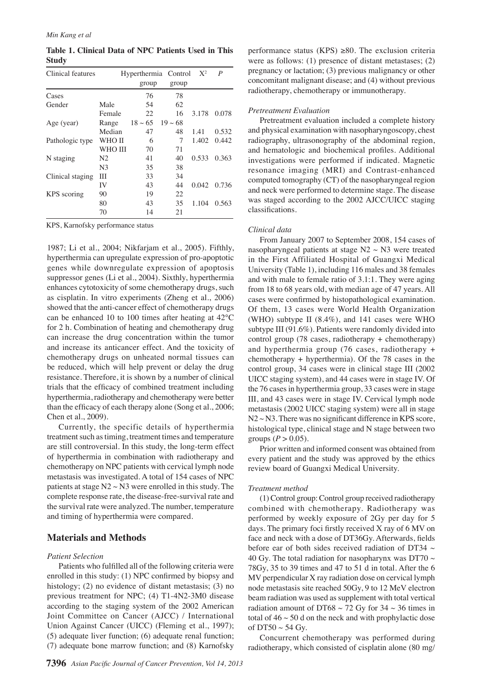**Table 1. Clinical Data of NPC Patients Used in This Study**

| Clinical features |                | Hyperthermia Control |              | $X^2$ | P     |
|-------------------|----------------|----------------------|--------------|-------|-------|
|                   |                | group                | group        |       |       |
| Cases             |                | 76                   | 78           |       |       |
| Gender            | Male           | 54                   | 62           |       |       |
|                   | Female         | 22                   | 16           | 3.178 | 0.078 |
| Age (year)        | Range          | $18 \sim 65$         | $19 \sim 68$ |       |       |
|                   | Median         | 47                   | 48           | 1.41  | 0.532 |
| Pathologic type   | WHO II         | 6                    | 7            | 1.402 | 0.442 |
|                   | WHO III        | 70                   | 71           |       |       |
| N staging         | N2             | 41                   | 40           | 0.533 | 0.363 |
|                   | N <sub>3</sub> | 35                   | 38           |       |       |
| Clinical staging  | Ш              | 33                   | 34           |       |       |
|                   | IV             | 43                   | 44           | 0.042 | 0.736 |
| KPS scoring       | 90             | 19                   | 22           |       |       |
|                   | 80             | 43                   | 35           | 1.104 | 0.563 |
|                   | 70             | 14                   | 21           |       |       |

KPS, Karnofsky performance status

1987; Li et al., 2004; Nikfarjam et al., 2005). Fifthly, hyperthermia can upregulate expression of pro-apoptotic genes while downregulate expression of apoptosis suppressor genes (Li et al., 2004). Sixthly, hyperthermia enhances cytotoxicity of some chemotherapy drugs, such as cisplatin. In vitro experiments (Zheng et al., 2006) showed that the anti-cancer effect of chemotherapy drugs can be enhanced 10 to 100 times after heating at 42°C for 2 h. Combination of heating and chemotherapy drug can increase the drug concentration within the tumor and increase its anticancer effect. And the toxicity of chemotherapy drugs on unheated normal tissues can be reduced, which will help prevent or delay the drug resistance. Therefore, it is shown by a number of clinical trials that the efficacy of combined treatment including hyperthermia, radiotherapy and chemotherapy were better than the efficacy of each therapy alone (Song et al., 2006; Chen et al., 2009).

Currently, the specific details of hyperthermia treatment such as timing, treatment times and temperature are still controversial. In this study, the long-term effect of hyperthermia in combination with radiotherapy and chemotherapy on NPC patients with cervical lymph node metastasis was investigated. A total of 154 cases of NPC patients at stage  $N2 \sim N3$  were enrolled in this study. The complete response rate, the disease-free-survival rate and the survival rate were analyzed. The number, temperature and timing of hyperthermia were compared.

#### **Materials and Methods**

#### *Patient Selection*

Patients who fulfilled all of the following criteria were enrolled in this study: (1) NPC confirmed by biopsy and histology; (2) no evidence of distant metastasis; (3) no previous treatment for NPC; (4) T1-4N2-3M0 disease according to the staging system of the 2002 American Joint Committee on Cancer (AJCC) / International Union Against Cancer (UICC) (Fleming et al., 1997); (5) adequate liver function; (6) adequate renal function; (7) adequate bone marrow function; and (8) Karnofsky

performance status (KPS)  $\geq 80$ . The exclusion criteria were as follows: (1) presence of distant metastases; (2) pregnancy or lactation; (3) previous malignancy or other concomitant malignant disease; and (4) without previous radiotherapy, chemotherapy or immunotherapy.

#### *Pretreatment Evaluation*

Pretreatment evaluation included a complete history and physical examination with nasopharyngoscopy, chest radiography, ultrasonography of the abdominal region, and hematologic and biochemical profiles. Additional investigations were performed if indicated. Magnetic resonance imaging (MRI) and Contrast-enhanced computed tomography (CT) of the nasopharyngeal region and neck were performed to determine stage. The disease was staged according to the 2002 AJCC/UICC staging classifications.

#### *Clinical data*

From January 2007 to September 2008, 154 cases of nasopharyngeal patients at stage  $N2 \sim N3$  were treated in the First Affiliated Hospital of Guangxi Medical University (Table 1), including 116 males and 38 females and with male to female ratio of 3.1:1. They were aging from 18 to 68 years old, with median age of 47 years. All cases were confirmed by histopathological examination. Of them, 13 cases were World Health Organization (WHO) subtype II (8.4%), and 141 cases were WHO subtype III (91.6%). Patients were randomly divided into control group (78 cases, radiotherapy + chemotherapy) and hyperthermia group (76 cases, radiotherapy + chemotherapy + hyperthermia). Of the 78 cases in the control group, 34 cases were in clinical stage III (2002 UICC staging system), and 44 cases were in stage IV. Of the 76 cases in hyperthermia group, 33 cases were in stage III, and 43 cases were in stage IV. Cervical lymph node metastasis (2002 UICC staging system) were all in stage  $N2 \sim N3$ . There was no significant difference in KPS score, histological type, clinical stage and N stage between two groups  $(P > 0.05)$ .

Prior written and informed consent was obtained from every patient and the study was approved by the ethics review board of Guangxi Medical University.

#### *Treatment method*

(1) Control group: Control group received radiotherapy combined with chemotherapy. Radiotherapy was performed by weekly exposure of 2Gy per day for 5 days. The primary foci firstly received X ray of 6 MV on face and neck with a dose of DT36Gy. Afterwards, fields before ear of both sides received radiation of DT34  $\sim$ 40 Gy. The total radiation for nasopharynx was DT70  $\sim$ 78Gy, 35 to 39 times and 47 to 51 d in total. After the 6 MV perpendicular X ray radiation dose on cervical lymph node metastasis site reached 50Gy, 9 to 12 MeV electron beam radiation was used as supplement with total vertical radiation amount of DT68  $\sim$  72 Gy for 34  $\sim$  36 times in total of  $46 \sim 50$  d on the neck and with prophylactic dose of DT50  $\sim$  54 Gy.

Concurrent chemotherapy was performed during radiotherapy, which consisted of cisplatin alone (80 mg/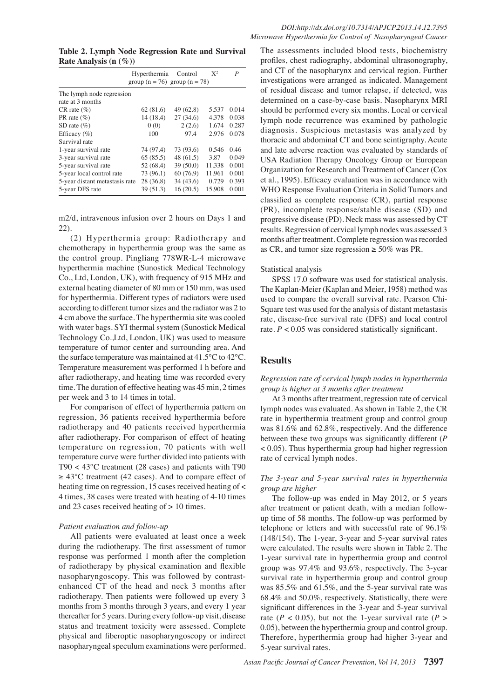**Table 2. Lymph Node Regression Rate and Survival Rate Analysis (n (%))**

|                                | Hyperthermia<br>group $(n = 76)$ group $(n = 78)$ | Control   | $X^2$  | P     |
|--------------------------------|---------------------------------------------------|-----------|--------|-------|
| The lymph node regression      |                                                   |           |        |       |
| rate at 3 months               |                                                   |           |        |       |
| $CR$ rate $(\%)$               | 62(81.6)                                          | 49 (62.8) | 5.537  | 0.014 |
| PR rate $(\%)$                 | 14 (18.4)                                         | 27(34.6)  | 4.378  | 0.038 |
| SD rate $(\% )$                | 0(0)                                              | 2(2.6)    | 1.674  | 0.287 |
| Efficacy $(\% )$               | 100                                               | 97.4      | 2.976  | 0.078 |
| Survival rate                  |                                                   |           |        |       |
| 1-year survival rate           | 74 (97.4)                                         | 73 (93.6) | 0.546  | 0.46  |
| 3-year survival rate           | 65(85.5)                                          | 48(61.5)  | 3.87   | 0.049 |
| 5-year survival rate           | 52 (68.4)                                         | 39(50.0)  | 11.338 | 0.001 |
| 5-year local control rate      | 73 (96.1)                                         | 60(76.9)  | 11.961 | 0.001 |
| 5-year distant metastasis rate | 28 (36.8)                                         | 34(43.6)  | 0.729  | 0.393 |
| 5-year DFS rate                | 39 (51.3)                                         | 16(20.5)  | 15.908 | 0.001 |

m2/d, intravenous infusion over 2 hours on Days 1 and 22).

(2) Hyperthermia group: Radiotherapy and chemotherapy in hyperthermia group was the same as the control group. Pingliang 778WR-L-4 microwave hyperthermia machine (Sunostick Medical Technology Co., Ltd, London, UK), with frequency of 915 MHz and external heating diameter of 80 mm or 150 mm, was used for hyperthermia. Different types of radiators were used according to different tumor sizes and the radiator was 2 to 4 cm above the surface. The hyperthermia site was cooled with water bags. SYI thermal system (Sunostick Medical Technology Co.,Ltd, London, UK) was used to measure temperature of tumor center and surrounding area. And the surface temperature was maintained at 41.5°C to 42°C. Temperature measurement was performed 1 h before and after radiotherapy, and heating time was recorded every time. The duration of effective heating was 45 min, 2 times per week and 3 to 14 times in total.

For comparison of effect of hyperthermia pattern on regression, 36 patients received hyperthermia before radiotherapy and 40 patients received hyperthermia after radiotherapy. For comparison of effect of heating temperature on regression, 70 patients with well temperature curve were further divided into patients with T90 < 43°C treatment (28 cases) and patients with T90  $\geq 43^{\circ}$ C treatment (42 cases). And to compare effect of heating time on regression, 15 cases received heating of < 4 times, 38 cases were treated with heating of 4-10 times and 23 cases received heating of > 10 times.

#### *Patient evaluation and follow-up*

All patients were evaluated at least once a week during the radiotherapy. The first assessment of tumor response was performed 1 month after the completion of radiotherapy by physical examination and flexible nasopharyngoscopy. This was followed by contrastenhanced CT of the head and neck 3 months after radiotherapy. Then patients were followed up every 3 months from 3 months through 3 years, and every 1 year thereafter for 5 years. During every follow-up visit, disease status and treatment toxicity were assessed. Complete physical and fiberoptic nasopharyngoscopy or indirect nasopharyngeal speculum examinations were performed.

25.0 progressive disease (PD). Neck mass was assessed by CT50.0 et al., 1995). Efficacy evaluation was in accordance with 75.0 and late adverse reaction was evaluated by standards df00.0 The assessments included blood tests, biochemistry profiles, chest radiography, abdominal ultrasonography, and CT of the nasopharynx and cervical region. Further investigations were arranged as indicated. Management of residual disease and tumor relapse, if detected, was determined on a case-by-case basis. Nasopharynx MRI should be performed every six months. Local or cervical lymph node recurrence was examined by pathologic diagnosis. Suspicious metastasis was analyzed by thoracic and abdominal CT and bone scintigraphy. Acute USA Radiation Therapy Oncology Group or European Organization for Research and Treatment of Cancer (Cox WHO Response Evaluation Criteria in Solid Tumors and classified as complete response (CR), partial response (PR), incomplete response/stable disease (SD) and results. Regression of cervical lymph nodes was assessed 3 months after treatment. Complete regression was recorded as CR, and tumor size regression  $\geq 50\%$  was PR.

#### Statistical analysis

SPSS 17.0 software was used for statistical analysis. The Kaplan-Meier (Kaplan and Meier, 1958) method was used to compare the overall survival rate. Pearson Chi-Square test was used for the analysis of distant metastasis rate, disease-free survival rate (DFS) and local control rate.  $P < 0.05$  was considered statistically significant.

## **Results**

#### *Regression rate of cervical lymph nodes in hyperthermia group is higher at 3 months after treatment*

At 3 months after treatment, regression rate of cervical lymph nodes was evaluated. As shown in Table 2, the CR rate in hyperthermia treatment group and control group was 81.6% and 62.8%, respectively. And the difference between these two groups was significantly different (*P* < 0.05). Thus hyperthermia group had higher regression rate of cervical lymph nodes.

#### *The 3-year and 5-year survival rates in hyperthermia group are higher*

The follow-up was ended in May 2012, or 5 years after treatment or patient death, with a median followup time of 58 months. The follow-up was performed by telephone or letters and with successful rate of 96.1% (148/154). The 1-year, 3-year and 5-year survival rates were calculated. The results were shown in Table 2. The 1-year survival rate in hyperthermia group and control group was 97.4% and 93.6%, respectively. The 3-year survival rate in hyperthermia group and control group was 85.5% and 61.5%, and the 5-year survival rate was 68.4% and 50.0%, respectively. Statistically, there were significant differences in the 3-year and 5-year survival rate ( $P < 0.05$ ), but not the 1-year survival rate ( $P > 0.05$ ) 0.05), between the hyperthermia group and control group. Therefore, hyperthermia group had higher 3-year and 5-year survival rates.

**46.8 56.3**

**20.3 6.3 10.1**

0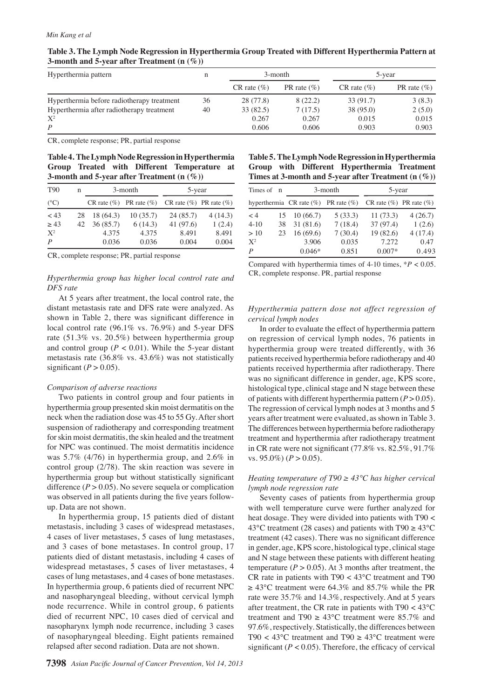| 3-month<br>n |                   |                 | 5-year           |                 |  |  |
|--------------|-------------------|-----------------|------------------|-----------------|--|--|
|              | $CR$ rate $(\% )$ | PR rate $(\% )$ | $CR$ rate $(\%)$ | PR rate $(\% )$ |  |  |
| 36           | 28 (77.8)         | 8(22.2)         | 33 (91.7)        | 3(8.3)          |  |  |
| 40           | 33(82.5)          | 7(17.5)         | 38 (95.0)        | 2(5.0)          |  |  |
|              | 0.267             | 0.267           | 0.015            | 0.015           |  |  |
|              | 0.606             | 0.606           | 0.903            | 0.903           |  |  |
|              |                   |                 |                  |                 |  |  |

|                                                 | Table 3. The Lymph Node Regression in Hyperthermia Group Treated with Different Hyperthermia Pattern at |
|-------------------------------------------------|---------------------------------------------------------------------------------------------------------|
| 3-month and 5-year after Treatment $(n \, (\%)$ |                                                                                                         |

CR, complete response; PR, partial response

**Table 4. The Lymph Node Regression in Hyperthermia Group Treated with Different Temperature at 3-month and 5-year after Treatment (n (%))**

| T <sub>90</sub> | n   | 3-month  |                                                             | 5-year   |         |
|-----------------|-----|----------|-------------------------------------------------------------|----------|---------|
| $(^{\circ}C)$   |     |          | CR rate $(\%)$ PR rate $(\%)$ CR rate $(\%)$ PR rate $(\%)$ |          |         |
| ~13             | 28  | 18(64.3) | 10(35.7)                                                    | 24(85.7) | 4(14.3) |
| > 43            | 42. | 36(85.7) | 6(14.3)                                                     | 41(97.6) | 1(2.4)  |
| $X^2$           |     | 4.375    | 4.375                                                       | 8.491    | 8.491   |
| P               |     | 0.036    | 0.036                                                       | 0.004    | 0.004   |

CR, complete response; PR, partial response

### *Hyperthermia group has higher local control rate and DFS rate*

At 5 years after treatment, the local control rate, the distant metastasis rate and DFS rate were analyzed. As shown in Table 2, there was significant difference in local control rate (96.1% vs. 76.9%) and 5-year DFS rate (51.3% vs. 20.5%) between hyperthermia group and control group ( $P < 0.01$ ). While the 5-year distant metastasis rate (36.8% vs. 43.6%) was not statistically significant  $(P > 0.05)$ .

## *Comparison of adverse reactions*

Two patients in control group and four patients in hyperthermia group presented skin moist dermatitis on the neck when the radiation dose was 45 to 55 Gy. After short suspension of radiotherapy and corresponding treatment for skin moist dermatitis, the skin healed and the treatment for NPC was continued. The moist dermatitis incidence was 5.7% (4/76) in hyperthermia group, and 2.6% in control group (2/78). The skin reaction was severe in hyperthermia group but without statistically significant difference  $(P > 0.05)$ . No severe sequela or complication was observed in all patients during the five years followup. Data are not shown.

In hyperthermia group, 15 patients died of distant metastasis, including 3 cases of widespread metastases, 4 cases of liver metastases, 5 cases of lung metastases, and 3 cases of bone metastases. In control group, 17 patients died of distant metastasis, including 4 cases of widespread metastases, 5 cases of liver metastases, 4 cases of lung metastases, and 4 cases of bone metastases. In hyperthermia group, 6 patients died of recurrent NPC and nasopharyngeal bleeding, without cervical lymph node recurrence. While in control group, 6 patients died of recurrent NPC, 10 cases died of cervical and nasopharynx lymph node recurrence, including 3 cases of nasopharyngeal bleeding. Eight patients remained relapsed after second radiation. Data are not shown.

| Table 5. The Lymph Node Regression in Hyperthermia       |  |  |                                             |  |  |
|----------------------------------------------------------|--|--|---------------------------------------------|--|--|
|                                                          |  |  | Group with Different Hyperthermia Treatment |  |  |
| Times at 3-month and 5-year after Treatment $(n \, (\%)$ |  |  |                                             |  |  |

|                  |    |                                              |         |                               | $\overline{\phantom{a}}$ |  |
|------------------|----|----------------------------------------------|---------|-------------------------------|--------------------------|--|
| Times of n       |    | 3-month                                      |         | 5-year                        |                          |  |
|                  |    | hyperthermia $CR$ rate $(\%)$ PR rate $(\%)$ |         | CR rate $(\%)$ PR rate $(\%)$ |                          |  |
| $\lt 4$          | 15 | 10(66.7)                                     | 5(33.3) | 11(73.3)                      | 4(26.7)                  |  |
| $4 - 10$         | 38 | 31(81.6)                                     | 7(18.4) | 37 (97.4)                     | 1(2.6)                   |  |
| >10              | 23 | 16(69.6)                                     | 7(30.4) | 19(82.6)                      | 4(17.4)                  |  |
| $X^2$            |    | 3.906                                        | 0.035   | 7.272                         | 0.47                     |  |
| $\boldsymbol{P}$ |    | $0.046*$                                     | 0.851   | $0.007*$                      | 0.493                    |  |

Compared with hyperthermia times of 4-10 times, \**P* < 0.05. CR, complete response. PR, partial response

## *Hyperthermia pattern dose not affect regression of cervical lymph nodes*

In order to evaluate the effect of hyperthermia pattern on regression of cervical lymph nodes, 76 patients in hyperthermia group were treated differently, with 36 patients received hyperthermia before radiotherapy and 40 patients received hyperthermia after radiotherapy. There was no significant difference in gender, age, KPS score, histological type, clinical stage and N stage between these of patients with different hyperthermia pattern  $(P > 0.05)$ . The regression of cervical lymph nodes at 3 months and 5 years after treatment were evaluated, as shown in Table 3. The differences between hyperthermia before radiotherapy treatment and hyperthermia after radiotherapy treatment in CR rate were not significant (77.8% vs. 82.5%, 91.7% vs. 95.0%)  $(P > 0.05)$ .

### *Heating temperature of T90 ≥ 43°C has higher cervical lymph node regression rate*

Seventy cases of patients from hyperthermia group with well temperature curve were further analyzed for heat dosage. They were divided into patients with T90 < 43°C treatment (28 cases) and patients with T90  $\geq 43^{\circ}$ C treatment (42 cases). There was no significant difference in gender, age, KPS score, histological type, clinical stage and N stage between these patients with different heating temperature ( $P > 0.05$ ). At 3 months after treatment, the CR rate in patients with T90 < 43°C treatment and T90  $\geq 43^{\circ}$ C treatment were 64.3% and 85.7% while the PR rate were 35.7% and 14.3%, respectively. And at 5 years after treatment, the CR rate in patients with T90 < 43°C treatment and T90  $\geq 43^{\circ}$ C treatment were 85.7% and 97.6%, respectively. Statistically, the differences between T90 < 43 $^{\circ}$ C treatment and T90  $\geq$  43 $^{\circ}$ C treatment were significant  $(P < 0.05)$ . Therefore, the efficacy of cervical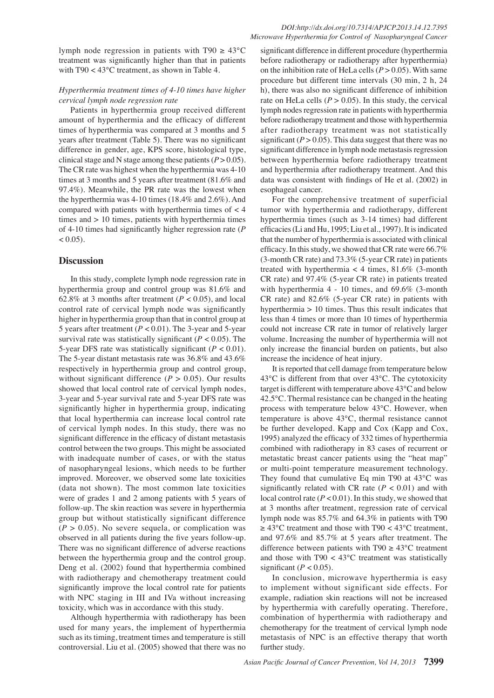#### *Hyperthermia treatment times of 4-10 times have higher cervical lymph node regression rate*

with T90 < 43°C treatment, as shown in Table 4.

Patients in hyperthermia group received different amount of hyperthermia and the efficacy of different times of hyperthermia was compared at 3 months and 5 years after treatment (Table 5). There was no significant difference in gender, age, KPS score, histological type, clinical stage and N stage among these patients  $(P > 0.05)$ . The CR rate was highest when the hyperthermia was 4-10 times at 3 months and 5 years after treatment (81.6% and 97.4%). Meanwhile, the PR rate was the lowest when the hyperthermia was 4-10 times (18.4% and 2.6%). And compared with patients with hyperthermia times of < 4 times and  $> 10$  times, patients with hyperthermia times of 4-10 times had significantly higher regression rate (*P*  $< 0.05$ ).

### **Discussion**

In this study, complete lymph node regression rate in hyperthermia group and control group was 81.6% and 62.8% at 3 months after treatment ( $P < 0.05$ ), and local control rate of cervical lymph node was significantly higher in hyperthermia group than that in control group at 5 years after treatment (*P* < 0.01). The 3-year and 5-year survival rate was statistically significant  $(P < 0.05)$ . The 5-year DFS rate was statistically significant  $(P < 0.01)$ . The 5-year distant metastasis rate was 36.8% and 43.6% respectively in hyperthermia group and control group, without significant difference  $(P > 0.05)$ . Our results showed that local control rate of cervical lymph nodes, 3-year and 5-year survival rate and 5-year DFS rate was significantly higher in hyperthermia group, indicating that local hyperthermia can increase local control rate of cervical lymph nodes. In this study, there was no significant difference in the efficacy of distant metastasis control between the two groups. This might be associated with inadequate number of cases, or with the status of nasopharyngeal lesions, which needs to be further improved. Moreover, we observed some late toxicities (data not shown). The most common late toxicities were of grades 1 and 2 among patients with 5 years of follow-up. The skin reaction was severe in hyperthermia group but without statistically significant difference  $(P > 0.05)$ . No severe sequela, or complication was observed in all patients during the five years follow-up. There was no significant difference of adverse reactions between the hyperthermia group and the control group. Deng et al. (2002) found that hyperthermia combined with radiotherapy and chemotherapy treatment could significantly improve the local control rate for patients with NPC staging in III and IVa without increasing toxicity, which was in accordance with this study.

Although hyperthermia with radiotherapy has been used for many years, the implement of hyperthermia such as its timing, treatment times and temperature is still controversial. Liu et al. (2005) showed that there was no

significant difference in different procedure (hyperthermia before radiotherapy or radiotherapy after hyperthermia) on the inhibition rate of HeLa cells  $(P > 0.05)$ . With same procedure but different time intervals (30 min, 2 h, 24 h), there was also no significant difference of inhibition rate on HeLa cells  $(P > 0.05)$ . In this study, the cervical lymph nodes regression rate in patients with hyperthermia before radiotherapy treatment and those with hyperthermia after radiotherapy treatment was not statistically significant  $(P > 0.05)$ . This data suggest that there was no significant difference in lymph node metastasis regression between hyperthermia before radiotherapy treatment and hyperthermia after radiotherapy treatment. And this data was consistent with findings of He et al. (2002) in esophageal cancer.

For the comprehensive treatment of superficial tumor with hyperthermia and radiotherapy, different hyperthermia times (such as 3-14 times) had different efficacies (Li and Hu, 1995; Liu et al., 1997). It is indicated that the number of hyperthermia is associated with clinical efficacy. In this study, we showed that CR rate were 66.7% (3-month CR rate) and 73.3% (5-year CR rate) in patients treated with hyperthermia  $<$  4 times, 81.6% (3-month CR rate) and 97.4% (5-year CR rate) in patients treated with hyperthermia 4 - 10 times, and 69.6% (3-month CR rate) and 82.6% (5-year CR rate) in patients with hyperthermia > 10 times. Thus this result indicates that less than 4 times or more than 10 times of hyperthermia could not increase CR rate in tumor of relatively larger volume. Increasing the number of hyperthermia will not only increase the financial burden on patients, but also increase the incidence of heat injury.

It is reported that cell damage from temperature below 43°C is different from that over 43°C. The cytotoxicity target is different with temperature above 43°C and below 42.5°C. Thermal resistance can be changed in the heating process with temperature below 43°C. However, when temperature is above 43°C, thermal resistance cannot be further developed. Kapp and Cox (Kapp and Cox, 1995) analyzed the efficacy of 332 times of hyperthermia combined with radiotherapy in 83 cases of recurrent or metastatic breast cancer patients using the "heat map" or multi-point temperature measurement technology. They found that cumulative Eq min T90 at 43°C was significantly related with CR rate  $(P < 0.01)$  and with local control rate  $(P < 0.01)$ . In this study, we showed that at 3 months after treatment, regression rate of cervical lymph node was 85.7% and 64.3% in patients with T90  $\geq 43^{\circ}$ C treatment and those with T90 < 43°C treatment, and 97.6% and 85.7% at 5 years after treatment. The difference between patients with T90  $\geq 43^{\circ}$ C treatment and those with  $T90 < 43^{\circ}$ C treatment was statistically significant  $(P < 0.05)$ .

In conclusion, microwave hyperthermia is easy to implement without significant side effects. For example, radiation skin reactions will not be increased by hyperthermia with carefully operating. Therefore, combination of hyperthermia with radiotherapy and chemotherapy for the treatment of cervical lymph node metastasis of NPC is an effective therapy that worth further study.